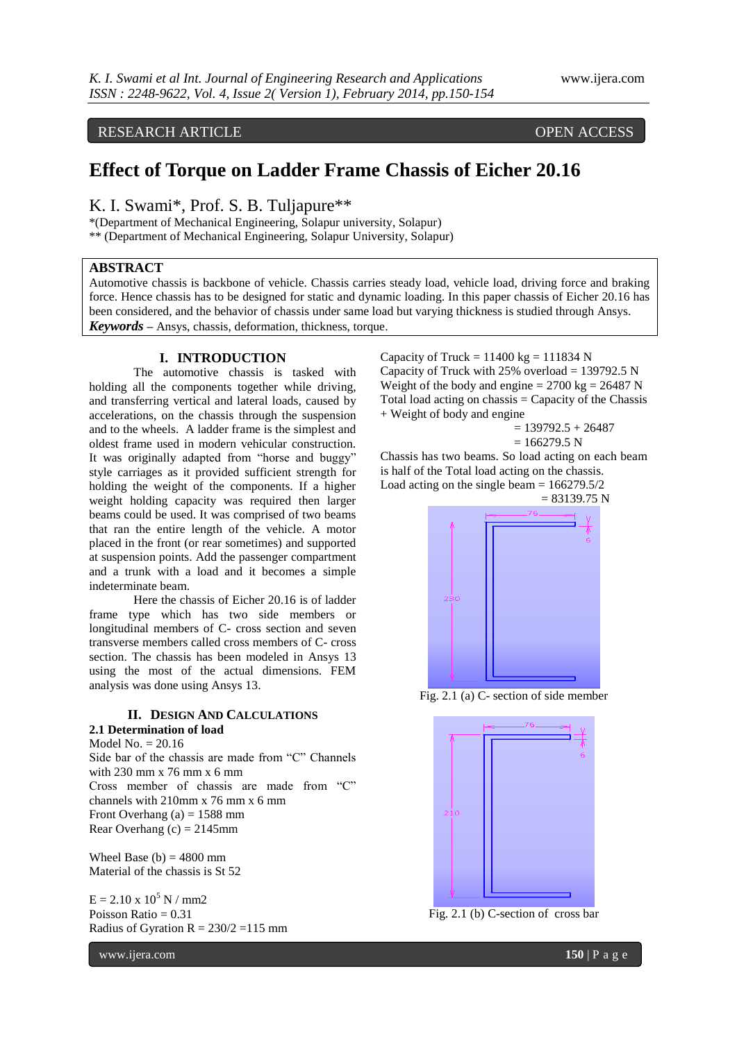RESEARCH ARTICLE OPEN ACCESS

# **Effect of Torque on Ladder Frame Chassis of Eicher 20.16**

K. I. Swami\*, Prof. S. B. Tuljapure\*\*

\*(Department of Mechanical Engineering, Solapur university, Solapur)

\*\* (Department of Mechanical Engineering, Solapur University, Solapur)

# **ABSTRACT**

Automotive chassis is backbone of vehicle. Chassis carries steady load, vehicle load, driving force and braking force. Hence chassis has to be designed for static and dynamic loading. In this paper chassis of Eicher 20.16 has been considered, and the behavior of chassis under same load but varying thickness is studied through Ansys. *Keywords* **–** Ansys, chassis, deformation, thickness, torque.

# **I. INTRODUCTION**

The automotive chassis is tasked with holding all the components together while driving, and transferring vertical and lateral loads, caused by accelerations, on the chassis through the suspension and to the wheels. A ladder frame is the simplest and oldest frame used in modern vehicular construction. It was originally adapted from "horse and buggy" style carriages as it provided sufficient strength for holding the weight of the components. If a higher weight holding capacity was required then larger beams could be used. It was comprised of two beams that ran the entire length of the vehicle. A motor placed in the front (or rear sometimes) and supported at suspension points. Add the passenger compartment and a trunk with a load and it becomes a simple indeterminate beam.

Here the chassis of Eicher 20.16 is of ladder frame type which has two side members or longitudinal members of C- cross section and seven transverse members called cross members of C- cross section. The chassis has been modeled in Ansys 13 using the most of the actual dimensions. FEM analysis was done using Ansys 13.

# **II. DESIGN AND CALCULATIONS**

**2.1 Determination of load** Model No. = 20.16 Side bar of the chassis are made from "C" Channels with 230 mm x 76 mm x 6 mm Cross member of chassis are made from "C" channels with 210mm x 76 mm x 6 mm Front Overhang (a)  $= 1588$  mm Rear Overhang  $(c) = 2145$ mm

Wheel Base (b)  $=$  4800 mm Material of the chassis is St 52

 $E = 2.10 \times 10^5$  N / mm2 Poisson Ratio  $= 0.31$ Radius of Gyration  $R = 230/2 = 115$  mm

www.ijera.com **150** | P a g e

Capacity of Truck =  $11400 \text{ kg} = 111834 \text{ N}$ Capacity of Truck with  $25\%$  overload = 139792.5 N Weight of the body and engine  $= 2700 \text{ kg} = 26487 \text{ N}$ Total load acting on chassis  $=$  Capacity of the Chassis + Weight of body and engine

$$
= 139792.5 + 26487
$$

$$
= 166279.5 \text{ N}
$$

Chassis has two beams. So load acting on each beam is half of the Total load acting on the chassis. Load acting on the single beam  $= 166279.5/2$ 

 $= 83139.75 N$ 



Fig. 2.1 (a) C- section of side member



Fig. 2.1 (b) C-section of cross bar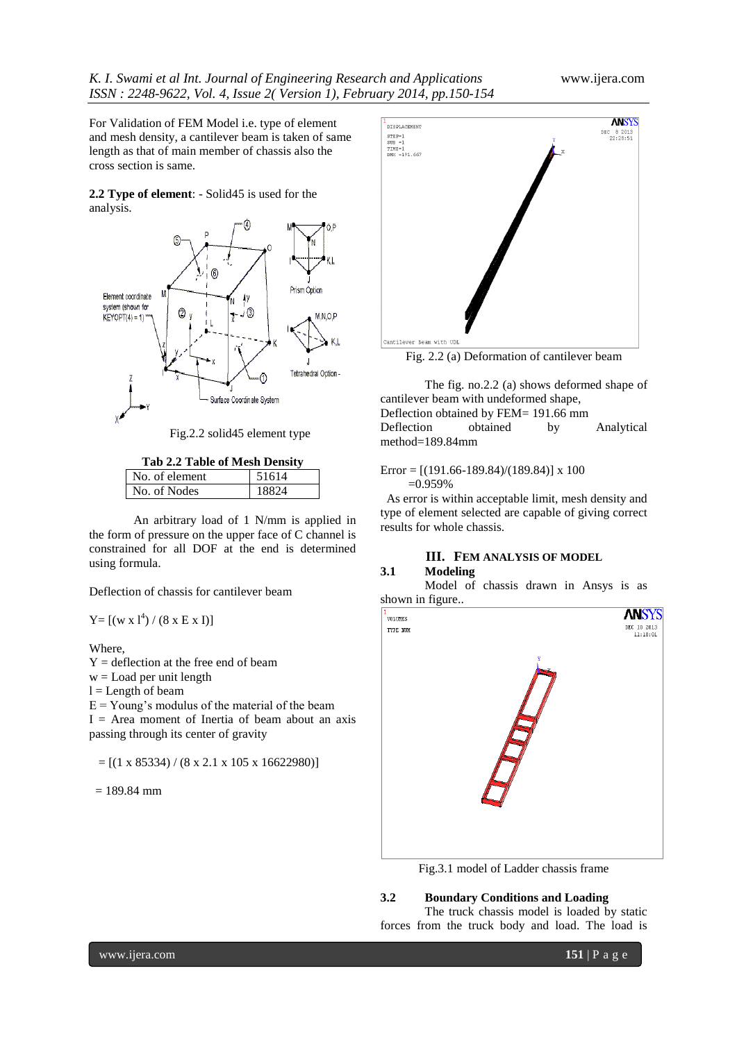For Validation of FEM Model i.e. type of element and mesh density, a cantilever beam is taken of same length as that of main member of chassis also the cross section is same.

**2.2 Type of element**: - Solid45 is used for the analysis.



Fig.2.2 solid45 element type

#### **Tab 2.2 Table of Mesh Density**

| No. of element |  |
|----------------|--|
| No. of Nodes   |  |

An arbitrary load of 1 N/mm is applied in the form of pressure on the upper face of C channel is constrained for all DOF at the end is determined using formula.

Deflection of chassis for cantilever beam

 $Y = [(w x 1<sup>4</sup>) / (8 x E x I)]$ 

Where,

 $Y =$  deflection at the free end of beam  $w =$ Load per unit length  $l =$ Length of beam  $E = Young's$  modulus of the material of the beam  $I =$  Area moment of Inertia of beam about an axis passing through its center of gravity

 $=$  [(1 x 85334) / (8 x 2.1 x 105 x 16622980)]

 $= 189.84$  mm



Fig. 2.2 (a) Deformation of cantilever beam

The fig. no.2.2 (a) shows deformed shape of cantilever beam with undeformed shape, Deflection obtained by FEM= 191.66 mm<br>Deflection obtained by by Analytical method=189.84mm

Error =  $[(191.66-189.84)/(189.84)]$  x 100  $=0.959%$ 

 As error is within acceptable limit, mesh density and type of element selected are capable of giving correct results for whole chassis.

# **III. FEM ANALYSIS OF MODEL**

# **3.1 Modeling**

Model of chassis drawn in Ansys is as shown in figure..



Fig.3.1 model of Ladder chassis frame

#### **3.2 Boundary Conditions and Loading**

The truck chassis model is loaded by static forces from the truck body and load. The load is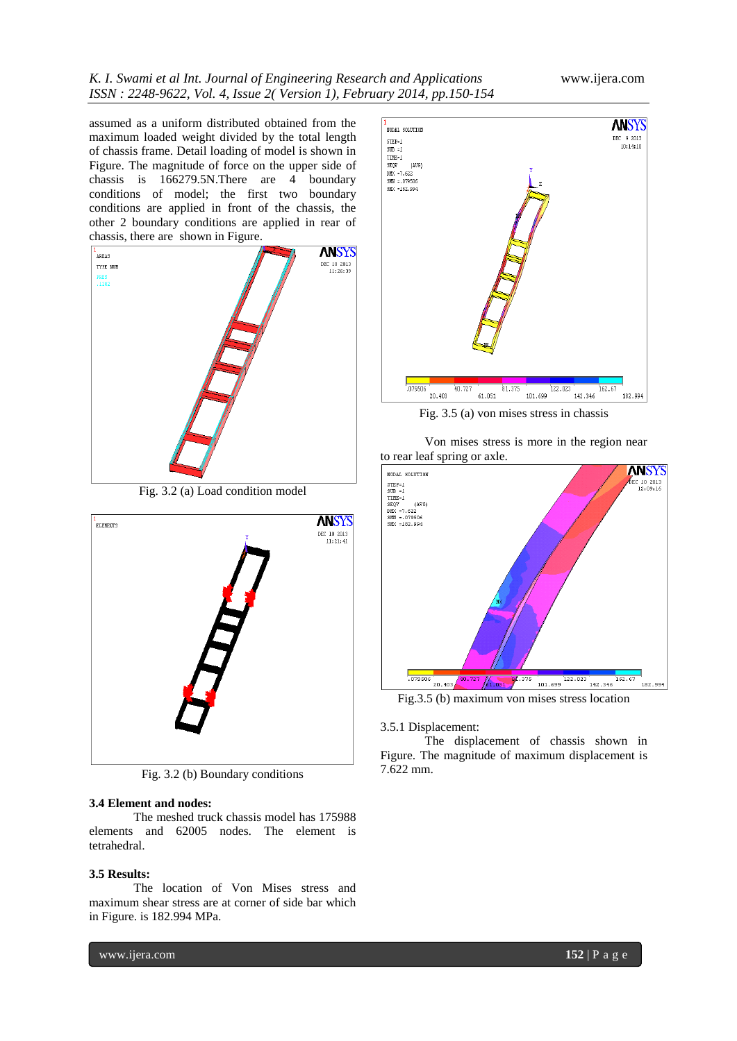# *K. I. Swami et al Int. Journal of Engineering Research and Applications* www.ijera.com *ISSN : 2248-9622, Vol. 4, Issue 2( Version 1), February 2014, pp.150-154*

assumed as a uniform distributed obtained from the maximum loaded weight divided by the total length of chassis frame. Detail loading of model is shown in Figure. The magnitude of force on the upper side of chassis is 166279.5N.There are 4 boundary conditions of model; the first two boundary conditions are applied in front of the chassis, the other 2 boundary conditions are applied in rear of chassis, there are shown in Figure.



Fig. 3.2 (a) Load condition model



Fig. 3.2 (b) Boundary conditions

### **3.4 Element and nodes:**

The meshed truck chassis model has 175988 elements and 62005 nodes. The element is tetrahedral.

#### **3.5 Results:**

The location of Von Mises stress and maximum shear stress are at corner of side bar which in Figure. is 182.994 MPa.



Fig. 3.5 (a) von mises stress in chassis

Von mises stress is more in the region near to rear leaf spring or axle.



Fig.3.5 (b) maximum von mises stress location

#### 3.5.1 Displacement:

The displacement of chassis shown in Figure. The magnitude of maximum displacement is 7.622 mm.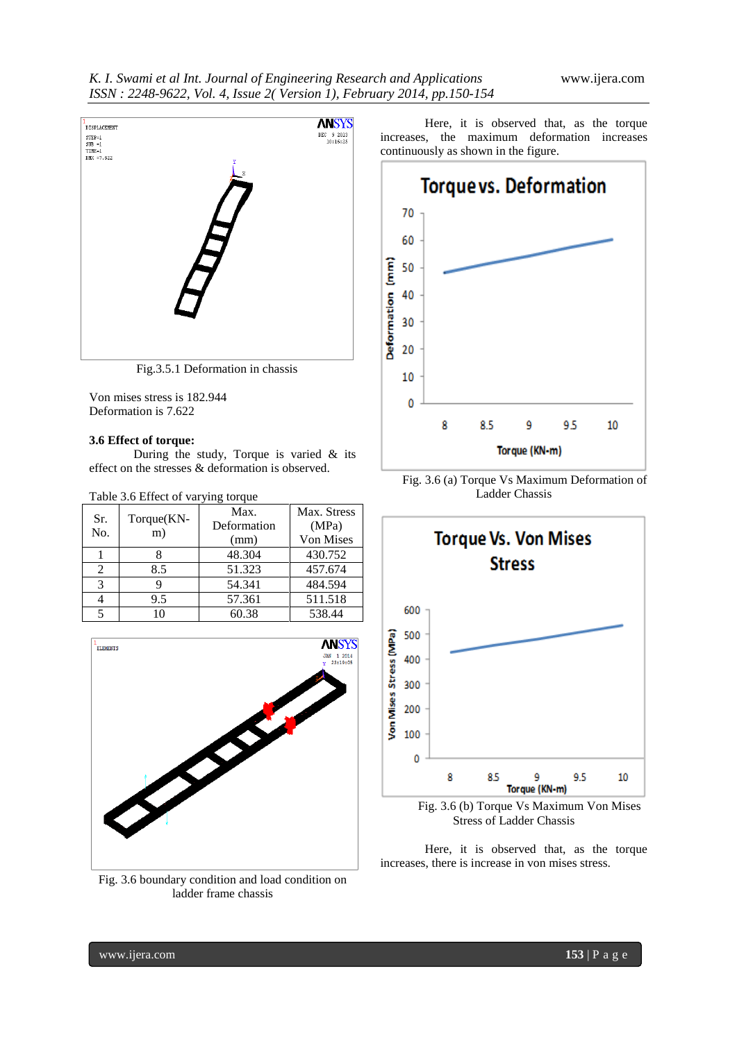

Fig.3.5.1 Deformation in chassis

Von mises stress is 182.944 Deformation is 7.622

## **3.6 Effect of torque:**

During the study, Torque is varied  $\&$  its effect on the stresses & deformation is observed.

Table 3.6 Effect of varying torque

| Sr.<br>No. | Torque(KN-<br>m) | Max.<br>Deformation<br>(mm) | Max. Stress<br>(MPa)<br>Von Mises |
|------------|------------------|-----------------------------|-----------------------------------|
|            |                  | 48.304                      | 430.752                           |
| 2          | 8.5              | 51.323                      | 457.674                           |
| 3          |                  | 54.341                      | 484.594                           |
|            | 9.5              | 57.361                      | 511.518                           |
|            |                  | 60.38                       | 538.44                            |



Fig. 3.6 boundary condition and load condition on ladder frame chassis

Here, it is observed that, as the torque increases, the maximum deformation increases continuously as shown in the figure.



 Fig. 3.6 (a) Torque Vs Maximum Deformation of Ladder Chassis



 Fig. 3.6 (b) Torque Vs Maximum Von Mises Stress of Ladder Chassis

Here, it is observed that, as the torque increases, there is increase in von mises stress.